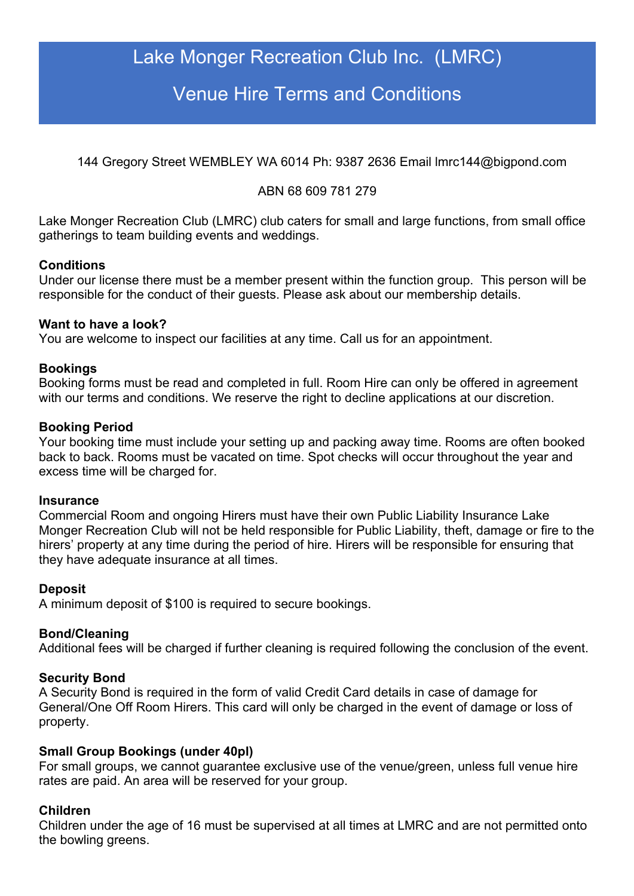# Lake Monger Recreation Club Inc. (LMRC)

## Venue Hire Terms and Conditions

144 Gregory Street WEMBLEY WA 6014 Ph: 9387 2636 Email lmrc144@bigpond.com

## ABN 68 609 781 279

Lake Monger Recreation Club (LMRC) club caters for small and large functions, from small office gatherings to team building events and weddings.

### **Conditions**

Under our license there must be a member present within the function group. This person will be responsible for the conduct of their guests. Please ask about our membership details.

### **Want to have a look?**

You are welcome to inspect our facilities at any time. Call us for an appointment.

### **Bookings**

Booking forms must be read and completed in full. Room Hire can only be offered in agreement with our terms and conditions. We reserve the right to decline applications at our discretion.

### **Booking Period**

Your booking time must include your setting up and packing away time. Rooms are often booked back to back. Rooms must be vacated on time. Spot checks will occur throughout the year and excess time will be charged for.

### **Insurance**

Commercial Room and ongoing Hirers must have their own Public Liability Insurance Lake Monger Recreation Club will not be held responsible for Public Liability, theft, damage or fire to the hirers' property at any time during the period of hire. Hirers will be responsible for ensuring that they have adequate insurance at all times.

### **Deposit**

A minimum deposit of \$100 is required to secure bookings.

### **Bond/Cleaning**

Additional fees will be charged if further cleaning is required following the conclusion of the event.

### **Security Bond**

A Security Bond is required in the form of valid Credit Card details in case of damage for General/One Off Room Hirers. This card will only be charged in the event of damage or loss of property.

### **Small Group Bookings (under 40pl)**

For small groups, we cannot guarantee exclusive use of the venue/green, unless full venue hire rates are paid. An area will be reserved for your group.

### **Children**

Children under the age of 16 must be supervised at all times at LMRC and are not permitted onto the bowling greens.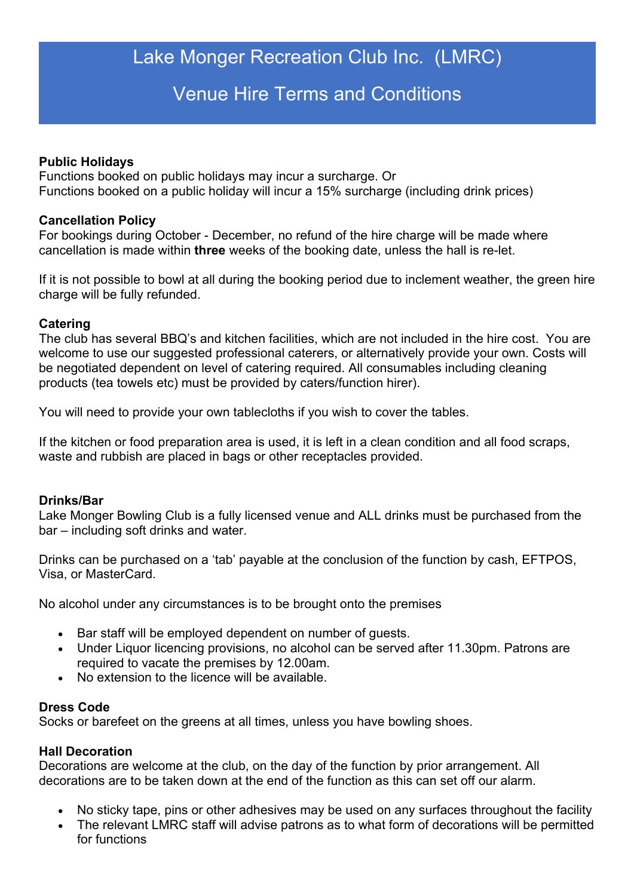# Lake Monger Recreation Club Inc. (LMRC)

## Venue Hire Terms and Conditions

### **Public Holidays**

Functions booked on public holidays may incur a surcharge. Or Functions booked on a public holiday will incur a 15% surcharge (including drink prices)

### **Cancellation Policy**

For bookings during October - December, no refund of the hire charge will be made where cancellation is made within **three** weeks of the booking date, unless the hall is re-let.

If it is not possible to bowl at all during the booking period due to inclement weather, the green hire charge will be fully refunded.

### **Catering**

The club has several BBQ's and kitchen facilities, which are not included in the hire cost. You are welcome to use our suggested professional caterers, or alternatively provide your own. Costs will be negotiated dependent on level of catering required. All consumables including cleaning products (tea towels etc) must be provided by caters/function hirer).

You will need to provide your own tablecloths if you wish to cover the tables.

If the kitchen or food preparation area is used, it is left in a clean condition and all food scraps, waste and rubbish are placed in bags or other receptacles provided.

### **Drinks/Bar**

Lake Monger Bowling Club is a fully licensed venue and ALL drinks must be purchased from the bar – including soft drinks and water.

Drinks can be purchased on a 'tab' payable at the conclusion of the function by cash, EFTPOS, Visa, or MasterCard.

No alcohol under any circumstances is to be brought onto the premises

- Bar staff will be employed dependent on number of guests.
- Under Liquor licencing provisions, no alcohol can be served after 11.30pm. Patrons are required to vacate the premises by 12.00am.
- No extension to the licence will be available.

### **Dress Code**

Socks or barefeet on the greens at all times, unless you have bowling shoes.

### **Hall Decoration**

Decorations are welcome at the club, on the day of the function by prior arrangement. All decorations are to be taken down at the end of the function as this can set off our alarm.

- No sticky tape, pins or other adhesives may be used on any surfaces throughout the facility
- The relevant LMRC staff will advise patrons as to what form of decorations will be permitted for functions